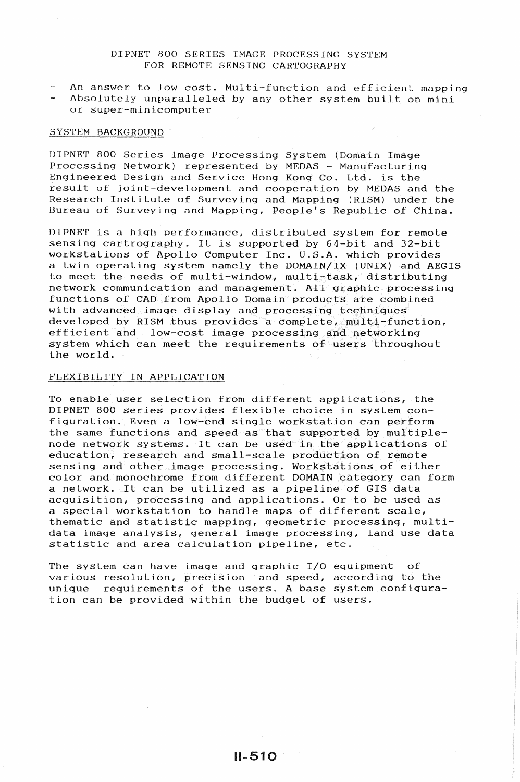# DIPNET 800 SERIES IMAGE PROCESSING SYSTEM FOR REMOTE SENSING CARTOGRAPHY

- An answer to low cost. Multi-function and efficient mapping
- Absolutely unparalleled by any other system built on mini or super-minicomputer

#### SYSTEM BACKGROUND

DIPNET 800 Series Image Processing System (Domain Image Processing Network) represented by MEDAS - Manufacturing Engineered Design and Service Hong Kong Co. Ltd. is the result of joint-development and cooperation by MEDAS and the Research Institute of Surveying and Mapping (RISM) under the Bureau of Surveying and Mapping, People's Republic of China.

DIPNET is a high performance, distributed system for remote sensing cartrography. It is supported by 64-bit and 32-bit workstations of Apollo Computer Inc. U.S.A. which provides a twin operating system namely the DOMAIN/IX (UNIX) and AEGIS to meet the needs of multi-window, multi-task, distributing network communication and management. All graphic processing functions of CAD from Apollo Domain products are combined with advanced image display and processing techniques developed by RISM thus provides a complete, multi-function, efficient and low-cost image processing and networking system which can meet the requirements of users throughout the world.

## FLEXIBILITY IN APPLICATION

To enable user selection from different applications, the DIPNET 800 series provides flexible choice in system configuration. Even a low-end single workstation can perform the same functions and speed as that supported by multiplenode network systems. It can be used in the applications of education, research and small-scale production of remote sensing and other image processing. Workstations of either color and monochrome from different DOMAIN category can form a network. It can be utilized as a pipeline of GIS data acquisition, processing and applications. Or to be used as a special workstation to handle maps of different scale, thematic and statistic mapping, geometric processing, multidata image analysis, general image processing, land use data statistic and area calculation pipeline, etc.

The system can have image and graphic I/0 equipment of various resolution, precision and speed, according to the unique requirements of the users. A base system configuration can be provided within the budget of users.

11-510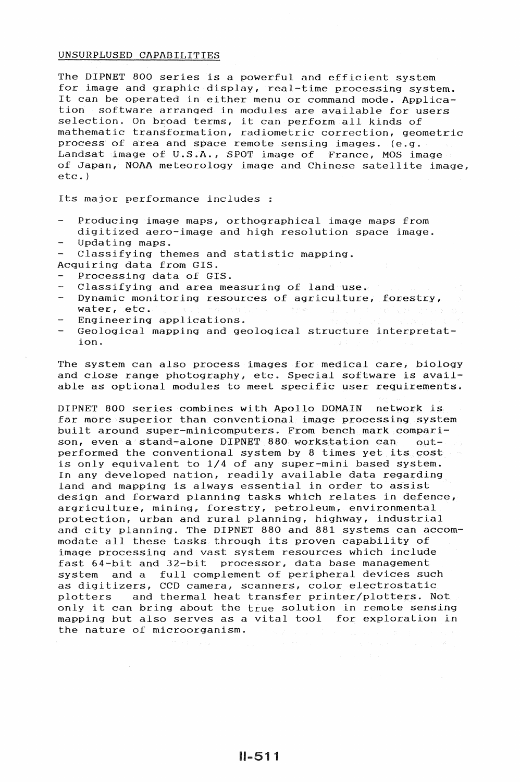## UNSURPLUSED CAPABILITIES

The DIPNET 800 series is a powerful and efficient system for image and graphic display, real-time processing system. It can be operated in either menu or command mode. Application software arranged in modules are available for users selection. On broad terms, it can perform all kinds of mathematic transformation, radiometric correction, geometric process of area and space remote sensing images. (e.g. Landsat image of U.S.A., SPOT image of France, MOS image of Japan, NOAA meteorology image and Chinese satellite image, etc.)

Its major performance includes :

- Producing image maps, orthographical image maps from digitized aero-image and high resolution space image.
- Updating maps.
- Classifying themes and statistic mapping.
- Acquiring data from GIS.
- Processing data of GIS.
- Classifying and area measuring of land use.
- Dynamic monitoring resources of agriculture, forestry, water, etc.
- Engineering applications.
- Geological mapping and geological structure interpretation.

The system can also process images for medical care, biology and close range photography, etc. Special software is available as optional modules to meet specific user requirements.

DIPNET 800 series combines with Apollo DOMAIN network is far more superior than conventional image processing system built around super-minicomputers. From bench mark comparison, even a stand-alone DIPNET 880 workstation can outperformed the conventional system by 8 times yet its cost is only equivalent to 1/4 of any super-mini based system. In any developed nation, readily available data regarding land and mapping is always essential in order to assist design and forward planning tasks which relates in defence, argriculture, mining, forestry, petroleum, environmental protection, urban and rural planning, highway, industrial and city planning. The DIPNET 880 and 881 systems can accommodate all these tasks through its proven capability of image processing and vast system resources which include fast 64-bit and 32-bit processor, data base management system and a full complement of peripheral devices such as digitizers, CCD camera, scanners, color electrostatic plotters and thermal heat transfer printer/plotters. Not only it can bring about the true solution in remote sensing mapping but also serves as a vital tool for exploration in the nature of microorganism.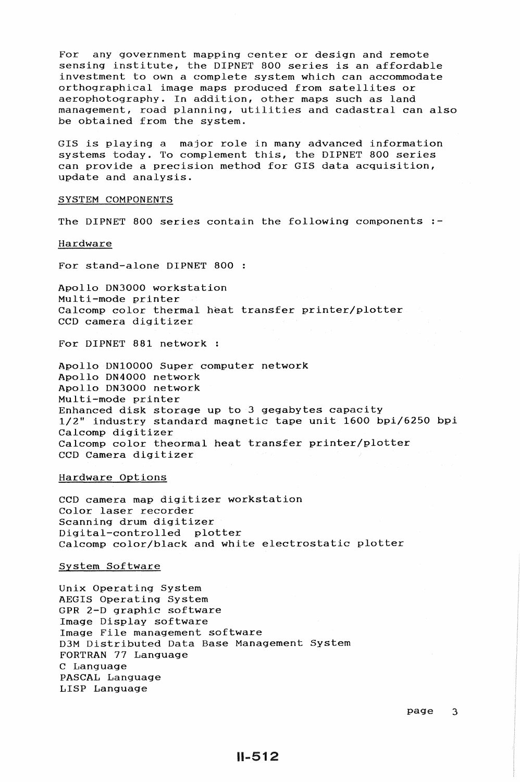For any government mapping center or design and remote sensing institute, the DIPNET 800 series is an affordable investment to own a complete system which can accommodate orthographical image maps produced from satellites or aerophotography. In addition, other maps such as land management, road planning, utilities and cadastral can also be obtained from the system.

GIS is playing a major role in many advanced information systems today. To complement this, the DIPNET 800 series can provide a precision method for GIS data acquisition, update and analysis.

#### SYSTEM COMPONENTS

The DIPNET 800 series contain the following components :-

#### Hardware

For stand-alone DIPNET 800

Apollo DN3000 workstation Multi-mode printer Calcomp color thermal heat transfer printer/plotter CCD camera digitizer

For DIPNET 881 network

Apollo DN10000 Super computer network Apollo DN4000 network Apollo DN3000 network Multi-mode printer Enhanced disk storage up to 3 gegabytes capacity 1/2" industry standard magnetic tape unit 1600 bpi/6250 bpi Calcomp digitizer Calcomp color theormal heat transfer printer/plotter CCD Camera digitizer

#### Hardware Options

CCD camera map digitizer workstation Color laser recorder Scanning drum digitizer Digital-controlled plotter Calcomp color/black and white electrostatic plotter

## System Software

Unix Operating System AEGIS Operating System GPR 2-D graphic software Image Display software Image File management software D3M Distributed Data Base Management System FORTRAN 77 Language C Language PASCAL Language LISP Language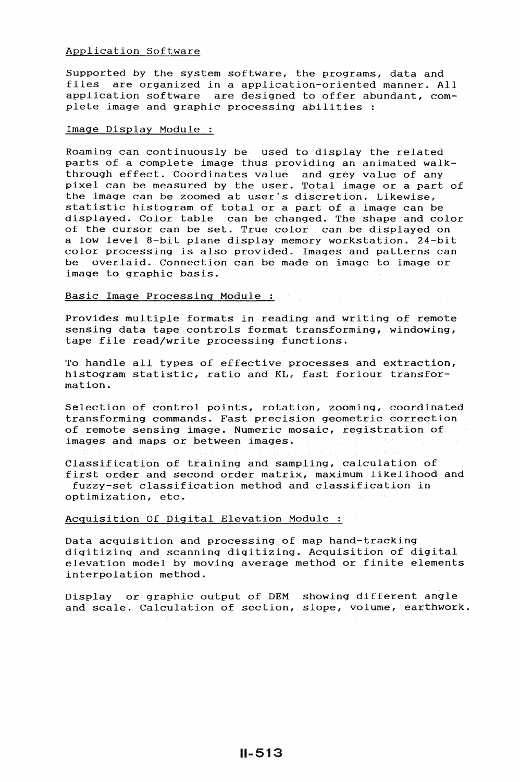### Application Software

Supported by the system software, the programs, data and files are organized in a application-oriented manner. All application software are designed to offer abundant, complete image and graphic processing abilities :

# Image Display Module :

Roaming can continuously be used to display the related parts of a complete image thus providing an animated walkthrough effect. Coordinates value and grey value of any pixel can be measured by the user. Total image or a part of the image can be zoomed at user's discretion. Likewise, statistic histogram of total or a part of a image can be displayed. Color table can be changed. The shape and color of the cursor can be set. True color can be displayed on a low level 8-bit plane display memory workstation. 24-bit color processing is also provided. Images and patterns can be overlaid. Connection can be made on image to image or image to graphic basis.

### Basic Image Processing Module

Provides multiple formats in reading and writing of remote sensing data tape controls format transforming, windowing, tape file read/write processing functions.

To handle all types of effective processes and extraction, histogram statistic, ratio and KL, fast foriour transformation.

Selection of control points, rotation, zooming, coordinated transforming commands. Fast precision geometric correction of remote sensing image. Numeric mosaic, registration of images and maps or between images.

Classification of training and sampling, calculation of first order and second order matrix, maximum likelihood and fuzzy-set classification method and classification in optimization, etc.

# Acquisition Of Digital Elevation Module :

Data acquisition and processing of map hand-tracking digitizing and scanning digitizing. Acquisition of digital elevation model by moving average method or finite elements interpolation method.

Display or graphic output of OEM showing different angle and scale. Calculation of section, slope, volume, earthwork.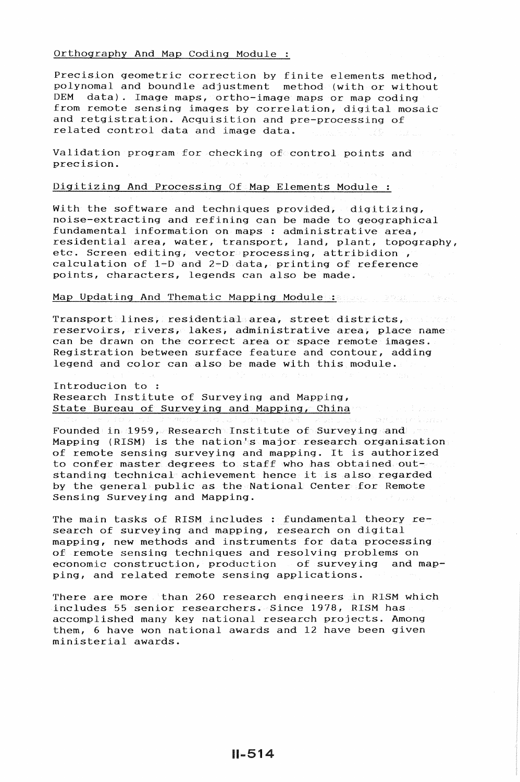#### Orthography And Map Coding Module

Precision geometric correction by finite elements method, polynomal and boundle adjustment method (with or without DEM data). Image mans cotho-image mans or man coding data). Image maps, ortho-image maps or map coding from remote sensing images by correlation, digital mosaic and retgistration. Acquisition and pre-processing of related control data and image data.

Validation program for checking of control points and the precision.

# Digitizing And Processing Of Map Elements Module :

With the software and techniques provided; digitizing, noise-extracting and refining can be made to geographical fundamental information on maps : administrative area, residential area, water, transport, land, plant, topography, etc. Screen editing, vector processing, attribidion , calculation of  $1-D$  and  $2-D$  data, printing of reference points, characters, legends can also be made.

# Map Updating And Thematic Mapping Module : and the state of the Mapping Module : and the state of the state of

Transport lines, residential area, street districts, we have reservoirs, rivers, lakes, administrative area, place name can be drawn on the correct area or space remote images. Registration between surface feature and contour, adding legend and color can also be made with this module.

Introducion to : Research Institute of Surveying and Mapping, State Bureau of Surveying and Mapping, China

Founded in 1959, Research Institute of Surveying and Mapping (RISM) is the nation's major research organisation of remote sensing surveying and mapping. It is authorized to confer master degrees to staff who has obtained outstanding technical achievement hence it is also regarded by the general public as the National Center for Remote Sensing Surveying and Mapping.

The main tasks of RISM includes : fundamental theory research of surveying and mapping, research on digital mapping, new methods and instruments for data processing of remote sensing techniques and resolving problems on economic construction, production o£ surveying and mapping, and related remote sensing applications.

There are more than 260 research engineers in RISM which includes 55 senior researchers. Since 1978, RISM has accomplished many key national research projects. Among them, 6 have won national awards and 12 have been given ministerial awards.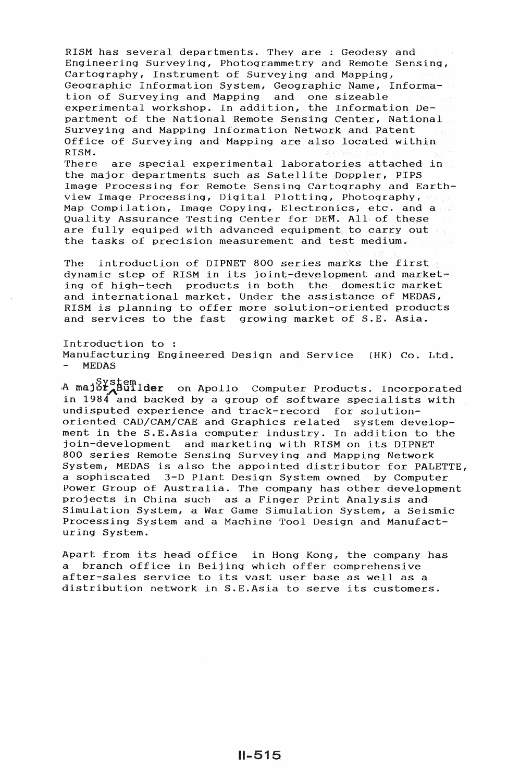RISM has several departments. They are : Geodesy and Engineering Surveying, Photogrammetry and Remote Sensing, Cartography, Instrument of Surveying and Mapping, Geographic Information System, Geographic Name, Information of Surveying and Mapping and one sizeable experimental workshop. In addition, the Information Department of the National Remote Sensing Center, National Surveying and Mapping Information Network and Patent Office of Surveying and Mapping are also located within RISM.

There are special experimental laboratories attached in the major departments such as Satellite Doppler, PIPS Image Processing for Remote Sensing Cartography and Earthview Image Processing, Digital Plotting, Photography, Map Compilation, Image Copying, Electronics, etc. and a Quality Assurance Testing Center for DEM. All of these are fully equiped with advanced equipment to carry out the tasks of precision measurement and test medium.

The introduction of DIPNET 800 series marks the first dynamic step of RISM in its joint-development and marketing of high-tech products in both the domestic market and international market. Under the assistance of MEDAS, RISM is planning to offer more solution-oriented products and services to the fast growing market of S.E. Asia.

Introduction to Manufacturing Engineered Design and Service (HK) Co. Ltd. MEDAS

A major.System<br>A major.Builder on Apollo Computer Products. Incorporated in  $1984$  and backed by a group of software specialists with undisputed experience and track-record for solutionoriented CAD/CAM/CAE and Graphics related system development in the S.E.Asia computer industry. In addition to the join-development and marketing with RISM on its DIPNET 800 series Remote Sensing Surveying and Mapping Network System, MEDAS is also the appointed distributor for PALETTE, a sophiscated 3-D Plant Design System owned by Computer Power Group of Australia. The company has other development projects in China such as a Finger Print Analysis and Simulation System, a War Game Simulation System, a Seismic Processing System and a Machine Tool Design and Manufacturing System.

Apart from its head office in Hong Kong, the company has<br>a branch office in Beijing which offer comprehensive a branch office in Beijing which offer comprehensive after-sales service to its vast user base as well as a distribution network in S.E.Asia to serve its customers.